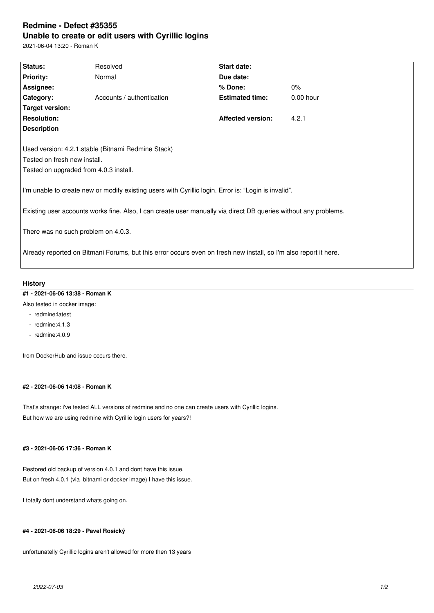# **Redmine - Defect #35355 Unable to create or edit users with Cyrillic logins**

2021-06-04 13:20 - Roman K

| Status:                                                                                                          | Resolved                  | <b>Start date:</b>       |           |
|------------------------------------------------------------------------------------------------------------------|---------------------------|--------------------------|-----------|
| <b>Priority:</b>                                                                                                 | Normal                    | Due date:                |           |
| Assignee:                                                                                                        |                           | % Done:                  | $0\%$     |
| Category:                                                                                                        | Accounts / authentication | <b>Estimated time:</b>   | 0.00 hour |
| Target version:                                                                                                  |                           |                          |           |
| <b>Resolution:</b>                                                                                               |                           | <b>Affected version:</b> | 4.2.1     |
| <b>Description</b>                                                                                               |                           |                          |           |
|                                                                                                                  |                           |                          |           |
| Used version: 4.2.1. stable (Bitnami Redmine Stack)                                                              |                           |                          |           |
| Tested on fresh new install.                                                                                     |                           |                          |           |
| Tested on upgraded from 4.0.3 install.                                                                           |                           |                          |           |
|                                                                                                                  |                           |                          |           |
| I'm unable to create new or modify existing users with Cyrillic login. Error is: "Login is invalid".             |                           |                          |           |
|                                                                                                                  |                           |                          |           |
| Existing user accounts works fine. Also, I can create user manually via direct DB queries without any problems.  |                           |                          |           |
|                                                                                                                  |                           |                          |           |
| There was no such problem on 4.0.3.                                                                              |                           |                          |           |
|                                                                                                                  |                           |                          |           |
| Already reported on Bitmani Forums, but this error occurs even on fresh new install, so I'm also report it here. |                           |                          |           |
|                                                                                                                  |                           |                          |           |

## **History**

## **#1 - 2021-06-06 13:38 - Roman K**

- Also tested in docker image:
	- redmine:latest
	- redmine:4.1.3
	- redmine:4.0.9

from DockerHub and issue occurs there.

### **#2 - 2021-06-06 14:08 - Roman K**

That's strange: i've tested ALL versions of redmine and no one can create users with Cyrillic logins. But how we are using redmine with Cyrillic login users for years?!

#### **#3 - 2021-06-06 17:36 - Roman K**

Restored old backup of version 4.0.1 and dont have this issue. But on fresh 4.0.1 (via bitnami or docker image) I have this issue.

I totally dont understand whats going on.

## **#4 - 2021-06-06 18:29 - Pavel Rosický**

unfortunatelly Cyrillic logins aren't allowed for more then 13 years